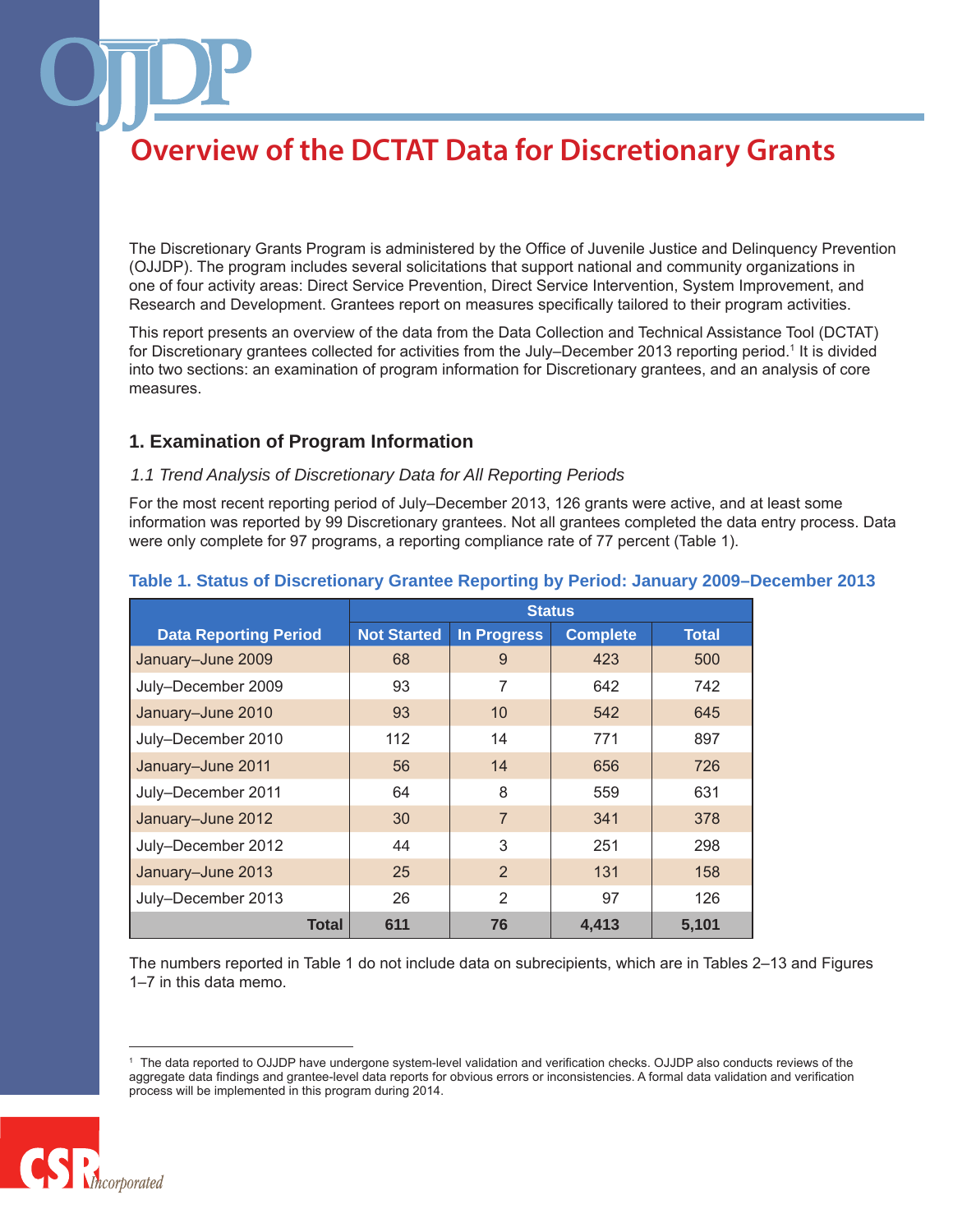The Discretionary Grants Program is administered by the Office of Juvenile Justice and Delinquency Prevention (OJJDP). The program includes several solicitations that support national and community organizations in one of four activity areas: Direct Service Prevention, Direct Service Intervention, System Improvement, and Research and Development. Grantees report on measures specifically tailored to their program activities.

This report presents an overview of the data from the Data Collection and Technical Assistance Tool (DCTAT) for Discretionary grantees collected for activities from the July–December 2013 reporting period.1 It is divided into two sections: an examination of program information for Discretionary grantees, and an analysis of core measures.

## **1. Examination of Program Information**

### *1.1 Trend Analysis of Discretionary Data for All Reporting Periods*

For the most recent reporting period of July–December 2013, 126 grants were active, and at least some information was reported by 99 Discretionary grantees. Not all grantees completed the data entry process. Data were only complete for 97 programs, a reporting compliance rate of 77 percent (Table 1).

|                              | <b>Status</b>      |                    |                 |              |
|------------------------------|--------------------|--------------------|-----------------|--------------|
| <b>Data Reporting Period</b> | <b>Not Started</b> | <b>In Progress</b> | <b>Complete</b> | <b>Total</b> |
| January-June 2009            | 68                 | 9                  | 423             | 500          |
| July-December 2009           | 93                 | 7                  | 642             | 742          |
| January-June 2010            | 93                 | 10                 | 542             | 645          |
| July-December 2010           | 112                | 14                 | 771             | 897          |
| January-June 2011            | 56                 | 14                 | 656             | 726          |
| July-December 2011           | 64                 | 8                  | 559             | 631          |
| January-June 2012            | 30                 | $\overline{7}$     | 341             | 378          |
| July-December 2012           | 44                 | 3                  | 251             | 298          |
| January-June 2013            | 25                 | 2                  | 131             | 158          |
| July-December 2013           | 26                 | $\mathfrak{D}$     | 97              | 126          |
| Total                        | 611                | 76                 | 4,413           | 5,101        |

### **Table 1. Status of Discretionary Grantee Reporting by Period: January 2009–December 2013**

The numbers reported in Table 1 do not include data on subrecipients, which are in Tables 2–13 and Figures 1–7 in this data memo.

<sup>1</sup> The data reported to OJJDP have undergone system-level validation and verification checks. OJJDP also conducts reviews of the aggregate data findings and grantee-level data reports for obvious errors or inconsistencies. A formal data validation and verification process will be implemented in this program during 2014.

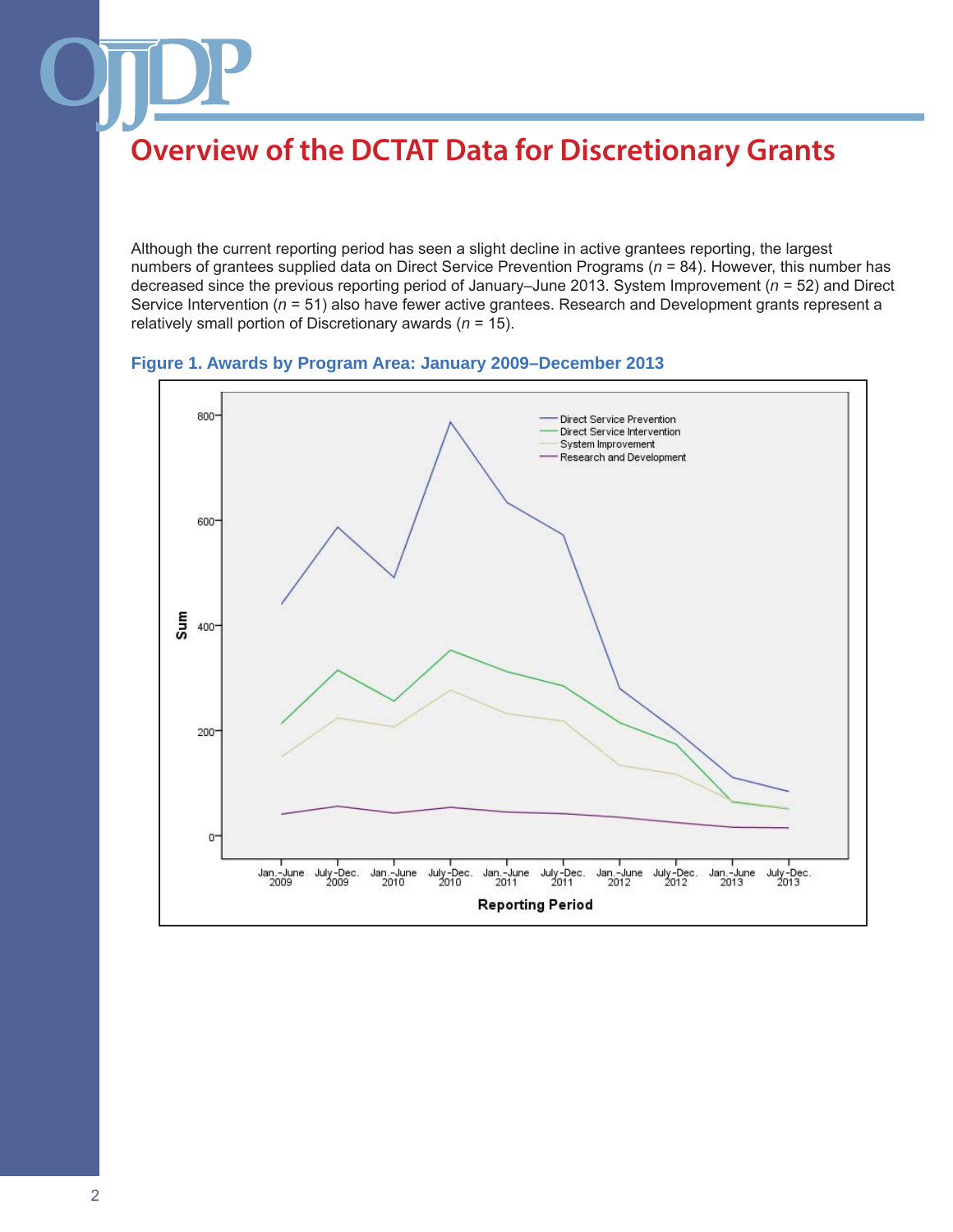Although the current reporting period has seen a slight decline in active grantees reporting, the largest numbers of grantees supplied data on Direct Service Prevention Programs (*n* = 84). However, this number has decreased since the previous reporting period of January–June 2013. System Improvement (*n* = 52) and Direct Service Intervention (*n* = 51) also have fewer active grantees. Research and Development grants represent a relatively small portion of Discretionary awards (*n* = 15).



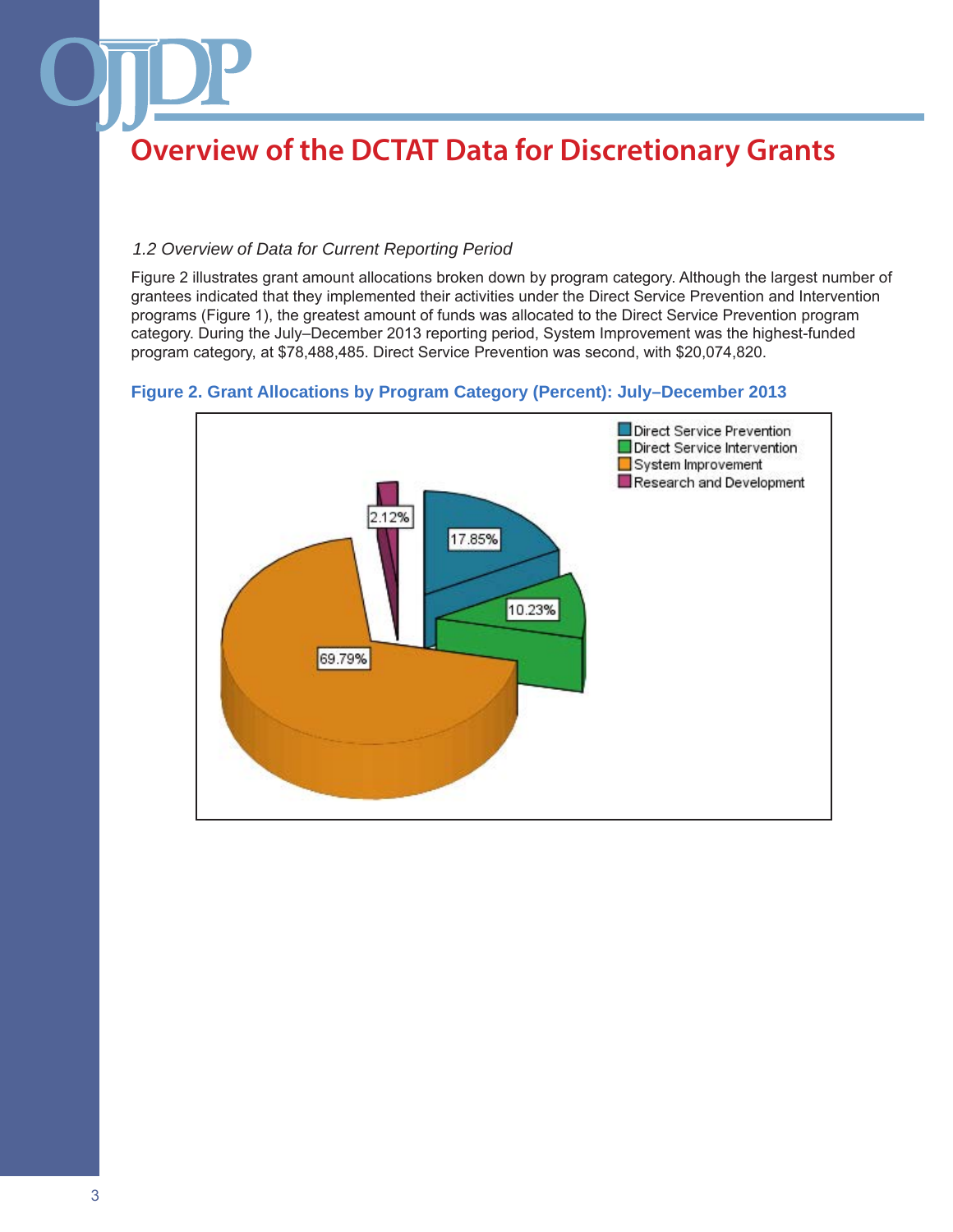### *1.2 Overview of Data for Current Reporting Period*

Figure 2 illustrates grant amount allocations broken down by program category. Although the largest number of grantees indicated that they implemented their activities under the Direct Service Prevention and Intervention programs (Figure 1), the greatest amount of funds was allocated to the Direct Service Prevention program category. During the July–December 2013 reporting period, System Improvement was the highest-funded program category, at \$78,488,485. Direct Service Prevention was second, with \$20,074,820.

### **Figure 2. Grant Allocations by Program Category (Percent): July–December 2013**

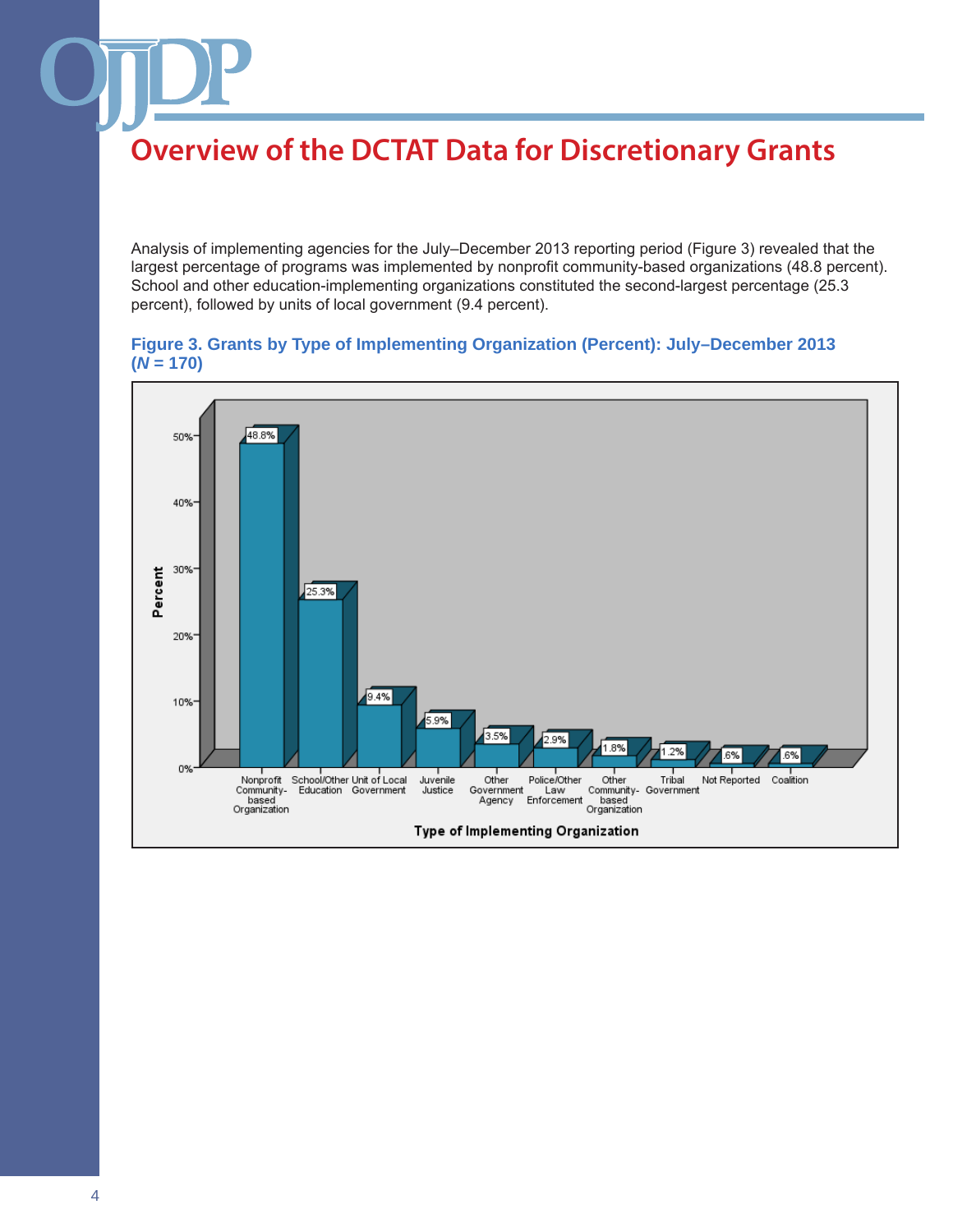Analysis of implementing agencies for the July–December 2013 reporting period (Figure 3) revealed that the largest percentage of programs was implemented by nonprofit community-based organizations (48.8 percent). School and other education-implementing organizations constituted the second-largest percentage (25.3 percent), followed by units of local government (9.4 percent).

### **Figure 3. Grants by Type of Implementing Organization (Percent): July–December 2013**   $(N = 170)$

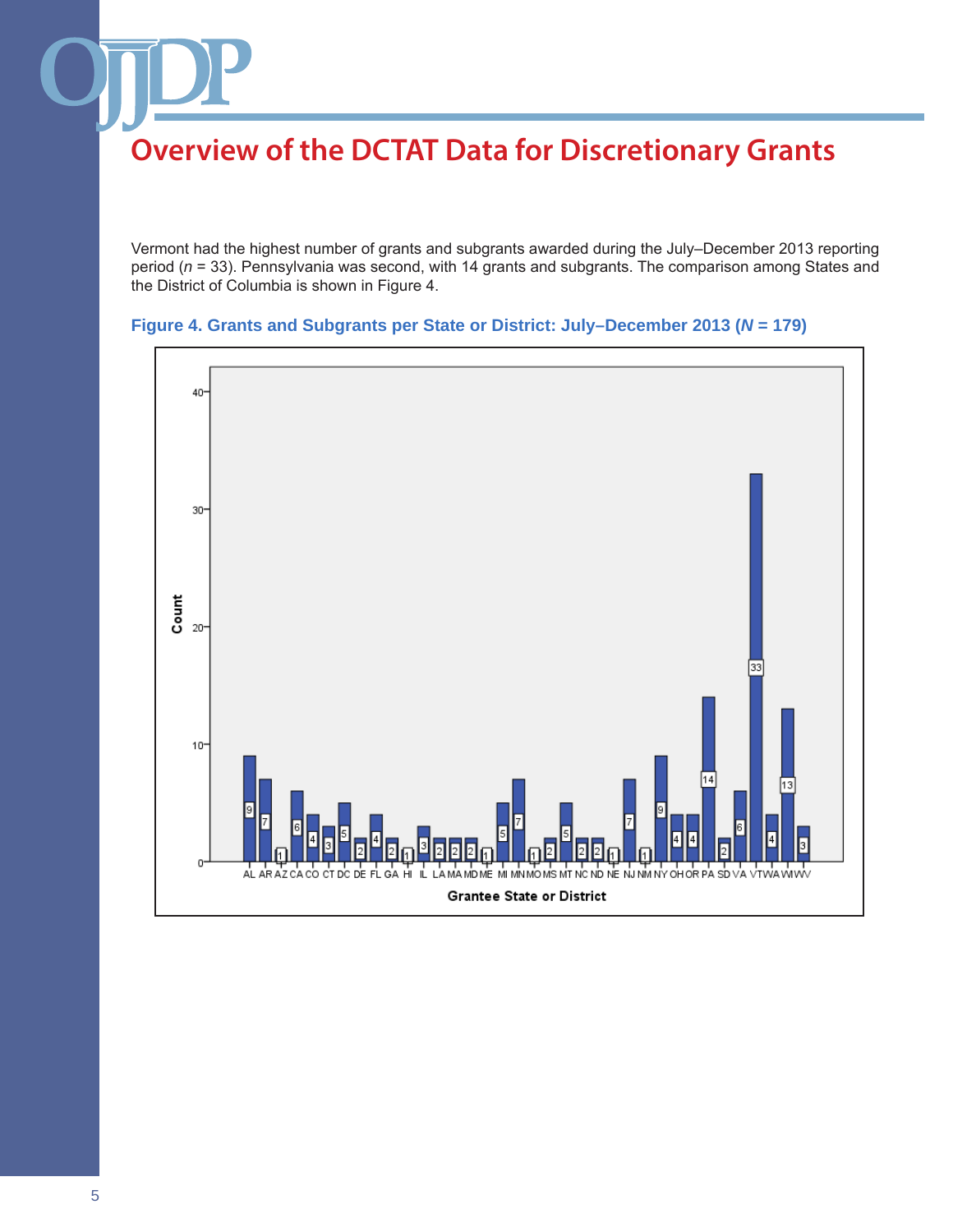Vermont had the highest number of grants and subgrants awarded during the July–December 2013 reporting period (*n* = 33). Pennsylvania was second, with 14 grants and subgrants. The comparison among States and the District of Columbia is shown in Figure 4.



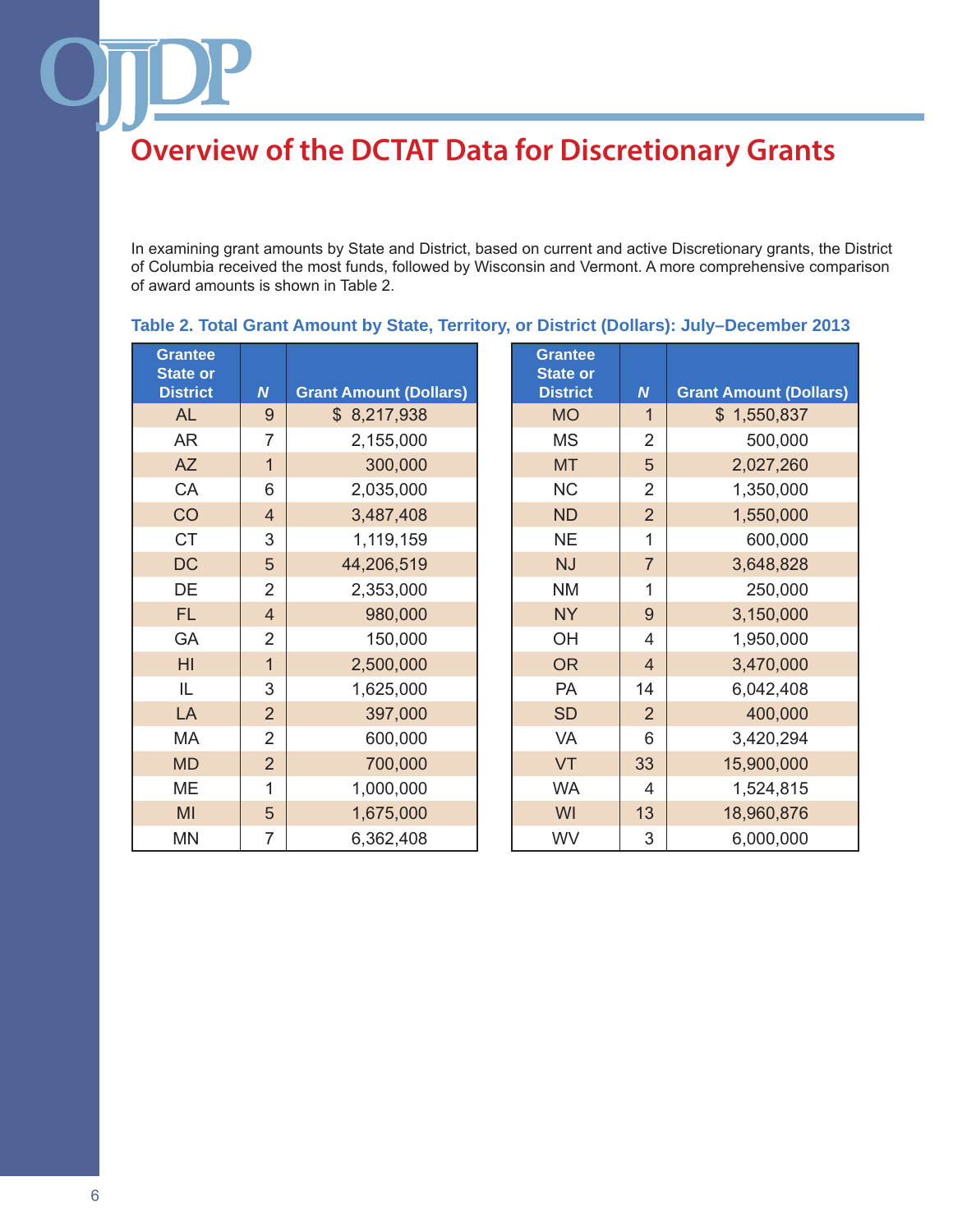In examining grant amounts by State and District, based on current and active Discretionary grants, the District of Columbia received the most funds, followed by Wisconsin and Vermont. A more comprehensive comparison of award amounts is shown in Table 2.

| <b>Grantee</b><br><b>State or</b><br><b>District</b> | $\boldsymbol{N}$ | <b>Grant Amount (Dollars)</b> | <b>Grantee</b><br><b>State or</b><br><b>District</b> | $\boldsymbol{N}$ | <b>Grant Amount (Dollars)</b> |
|------------------------------------------------------|------------------|-------------------------------|------------------------------------------------------|------------------|-------------------------------|
| <b>AL</b>                                            | 9                | \$8,217,938                   | <b>MO</b>                                            | $\mathbf 1$      | \$1,550,837                   |
| <b>AR</b>                                            | 7                | 2,155,000                     | <b>MS</b>                                            | $\overline{2}$   | 500,000                       |
| <b>AZ</b>                                            | $\mathbf{1}$     | 300,000                       | <b>MT</b>                                            | 5                | 2,027,260                     |
| CA                                                   | 6                | 2,035,000                     | <b>NC</b>                                            | $\overline{2}$   | 1,350,000                     |
| CO                                                   | $\overline{4}$   | 3,487,408                     | <b>ND</b>                                            | $\overline{2}$   | 1,550,000                     |
| <b>CT</b>                                            | 3                | 1,119,159                     | <b>NE</b>                                            | 1                | 600,000                       |
| <b>DC</b>                                            | 5                | 44,206,519                    | <b>NJ</b>                                            | $\overline{7}$   | 3,648,828                     |
| DE                                                   | $\overline{2}$   | 2,353,000                     | <b>NM</b>                                            | 1                | 250,000                       |
| <b>FL</b>                                            | $\overline{4}$   | 980,000                       | <b>NY</b>                                            | 9                | 3,150,000                     |
| <b>GA</b>                                            | $\overline{2}$   | 150,000                       | OH                                                   | 4                | 1,950,000                     |
| H <sub>l</sub>                                       | $\overline{1}$   | 2,500,000                     | <b>OR</b>                                            | $\overline{4}$   | 3,470,000                     |
| IL                                                   | 3                | 1,625,000                     | <b>PA</b>                                            | 14               | 6,042,408                     |
| LA                                                   | $\overline{2}$   | 397,000                       | <b>SD</b>                                            | $\overline{2}$   | 400,000                       |
| <b>MA</b>                                            | $\overline{2}$   | 600,000                       | <b>VA</b>                                            | 6                | 3,420,294                     |
| <b>MD</b>                                            | $\overline{2}$   | 700,000                       | VT                                                   | 33               | 15,900,000                    |
| <b>ME</b>                                            | 1                | 1,000,000                     | <b>WA</b>                                            | 4                | 1,524,815                     |
| MI                                                   | 5                | 1,675,000                     | WI                                                   | 13               | 18,960,876                    |
| <b>MN</b>                                            | 7                | 6,362,408                     | WV                                                   | 3                | 6,000,000                     |

## **Table 2. Total Grant Amount by State, Territory, or District (Dollars): July–December 2013**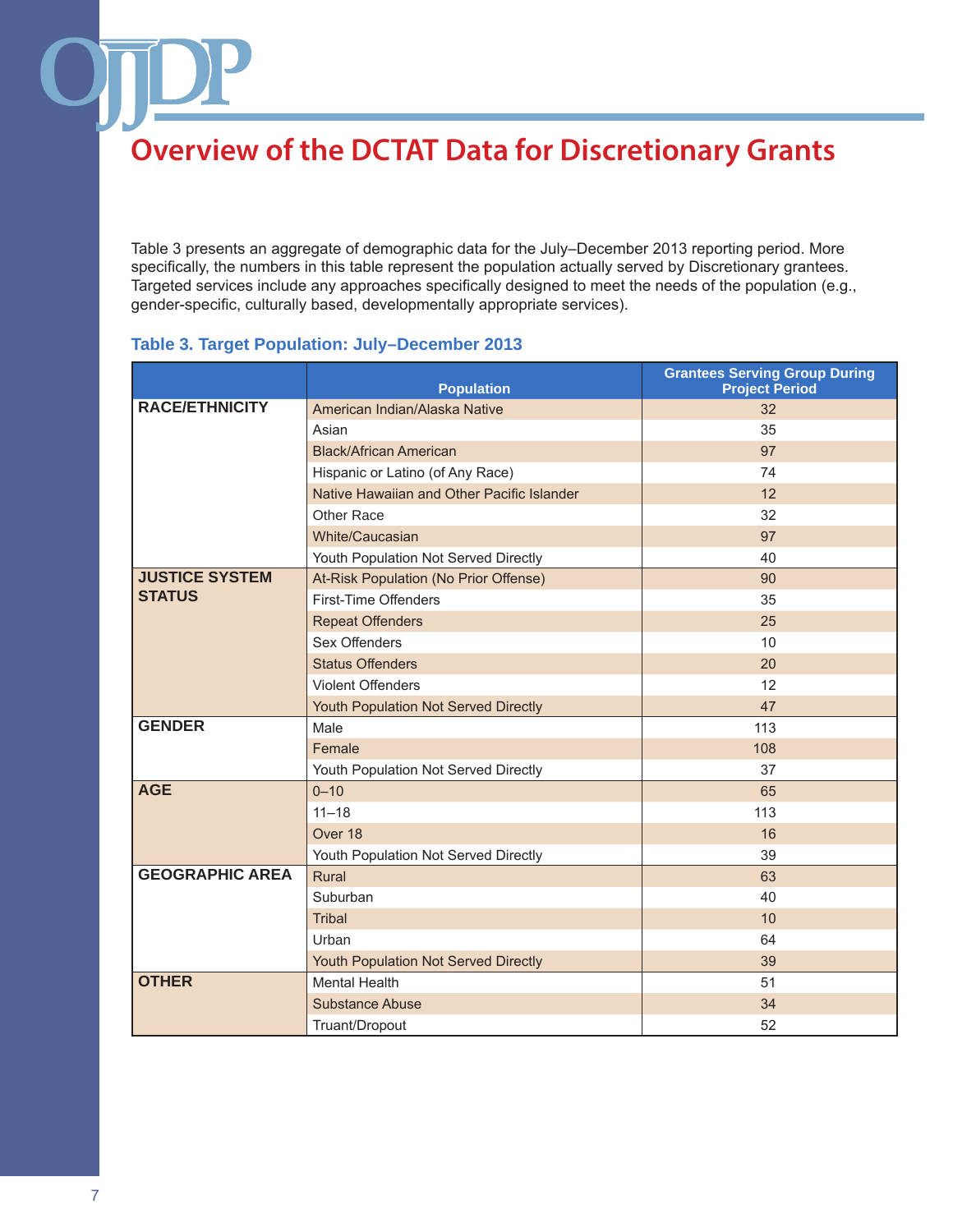Table 3 presents an aggregate of demographic data for the July–December 2013 reporting period. More specifically, the numbers in this table represent the population actually served by Discretionary grantees. Targeted services include any approaches specifically designed to meet the needs of the population (e.g., gender-specific, culturally based, developmentally appropriate services).

### **Table 3. Target Population: July–December 2013**

|                        | <b>Population</b>                          | <b>Grantees Serving Group During</b><br><b>Project Period</b> |
|------------------------|--------------------------------------------|---------------------------------------------------------------|
| <b>RACE/ETHNICITY</b>  | American Indian/Alaska Native              | 32                                                            |
|                        | Asian                                      | 35                                                            |
|                        | <b>Black/African American</b>              | 97                                                            |
|                        | Hispanic or Latino (of Any Race)           | 74                                                            |
|                        | Native Hawaiian and Other Pacific Islander | 12                                                            |
|                        | Other Race                                 | 32                                                            |
|                        | White/Caucasian                            | 97                                                            |
|                        | Youth Population Not Served Directly       | 40                                                            |
| <b>JUSTICE SYSTEM</b>  | At-Risk Population (No Prior Offense)      | 90                                                            |
| <b>STATUS</b>          | First-Time Offenders                       | 35                                                            |
|                        | <b>Repeat Offenders</b>                    | 25                                                            |
|                        | Sex Offenders                              | 10                                                            |
|                        | <b>Status Offenders</b>                    | 20                                                            |
|                        | <b>Violent Offenders</b>                   | 12                                                            |
|                        | Youth Population Not Served Directly       | 47                                                            |
| <b>GENDER</b>          | Male                                       | 113                                                           |
|                        | Female                                     | 108                                                           |
|                        | Youth Population Not Served Directly       | 37                                                            |
| <b>AGE</b>             | $0 - 10$                                   | 65                                                            |
|                        | $11 - 18$                                  | 113                                                           |
|                        | Over 18                                    | 16                                                            |
|                        | Youth Population Not Served Directly       | 39                                                            |
| <b>GEOGRAPHIC AREA</b> | Rural                                      | 63                                                            |
|                        | Suburban                                   | 40                                                            |
|                        | Tribal                                     | 10                                                            |
|                        | Urban                                      | 64                                                            |
|                        | Youth Population Not Served Directly       | 39                                                            |
| <b>OTHER</b>           | <b>Mental Health</b>                       | 51                                                            |
|                        | <b>Substance Abuse</b>                     | 34                                                            |
|                        | Truant/Dropout                             | 52                                                            |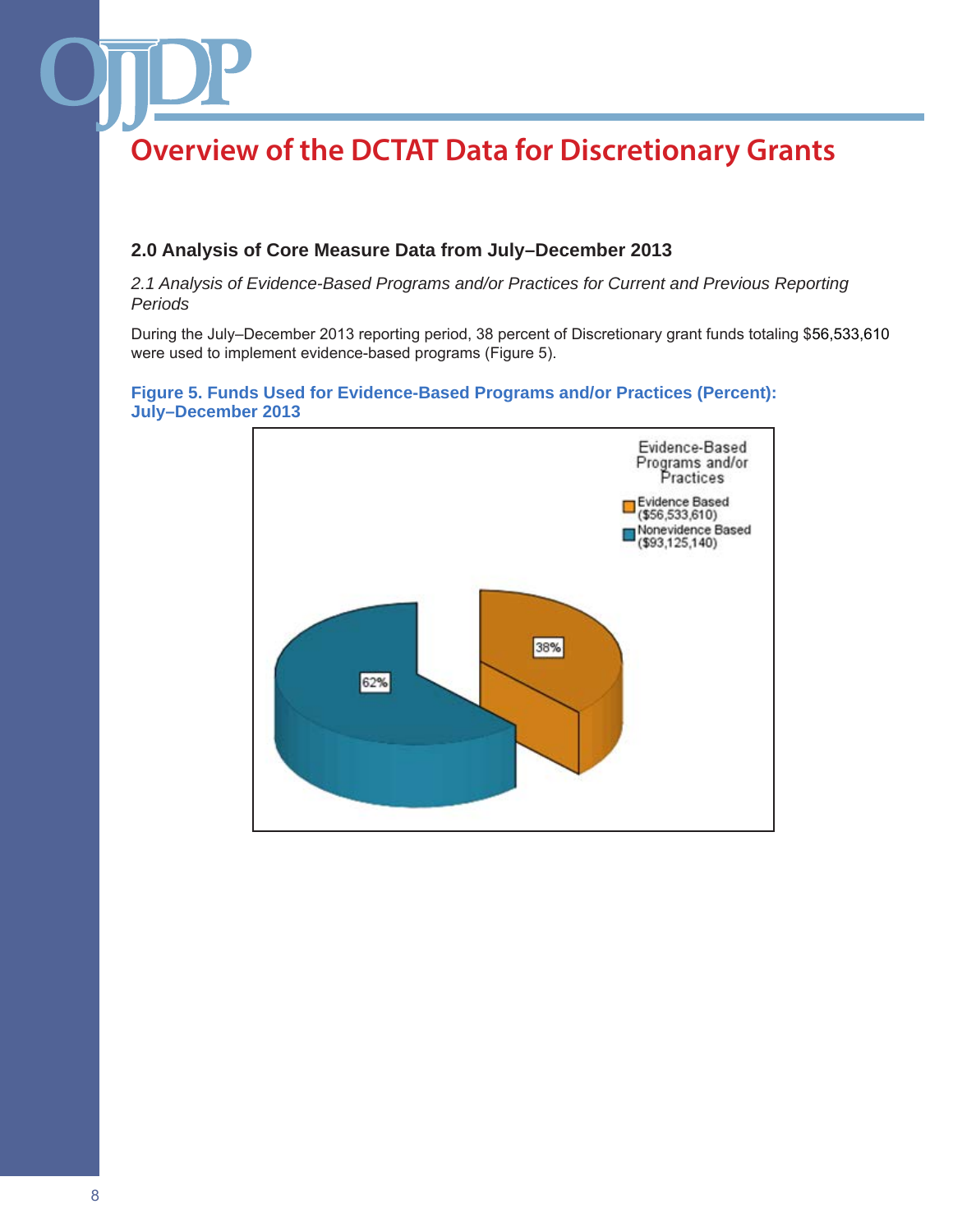## **2.0 Analysis of Core Measure Data from July–December 2013**

*2.1 Analysis of Evidence-Based Programs and/or Practices for Current and Previous Reporting Periods*

During the July–December 2013 reporting period, 38 percent of Discretionary grant funds totaling \$56,533,610 were used to implement evidence-based programs (Figure 5).

### **Figure 5. Funds Used for Evidence-Based Programs and/or Practices (Percent): July–December 2013**

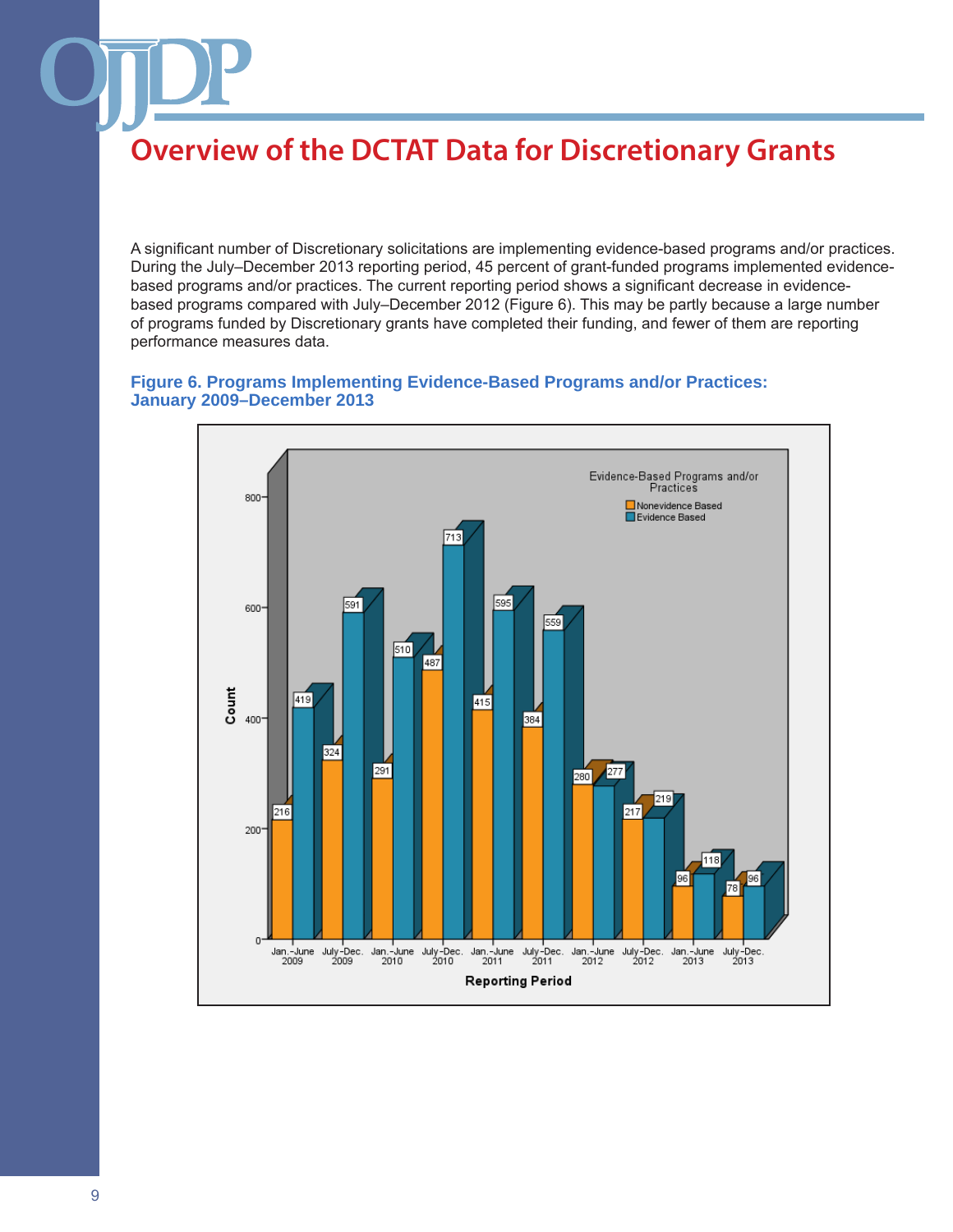A significant number of Discretionary solicitations are implementing evidence-based programs and/or practices. During the July–December 2013 reporting period, 45 percent of grant-funded programs implemented evidencebased programs and/or practices. The current reporting period shows a significant decrease in evidencebased programs compared with July–December 2012 (Figure 6). This may be partly because a large number of programs funded by Discretionary grants have completed their funding, and fewer of them are reporting performance measures data.

### **Figure 6. Programs Implementing Evidence-Based Programs and/or Practices: January 2009–December 2013**

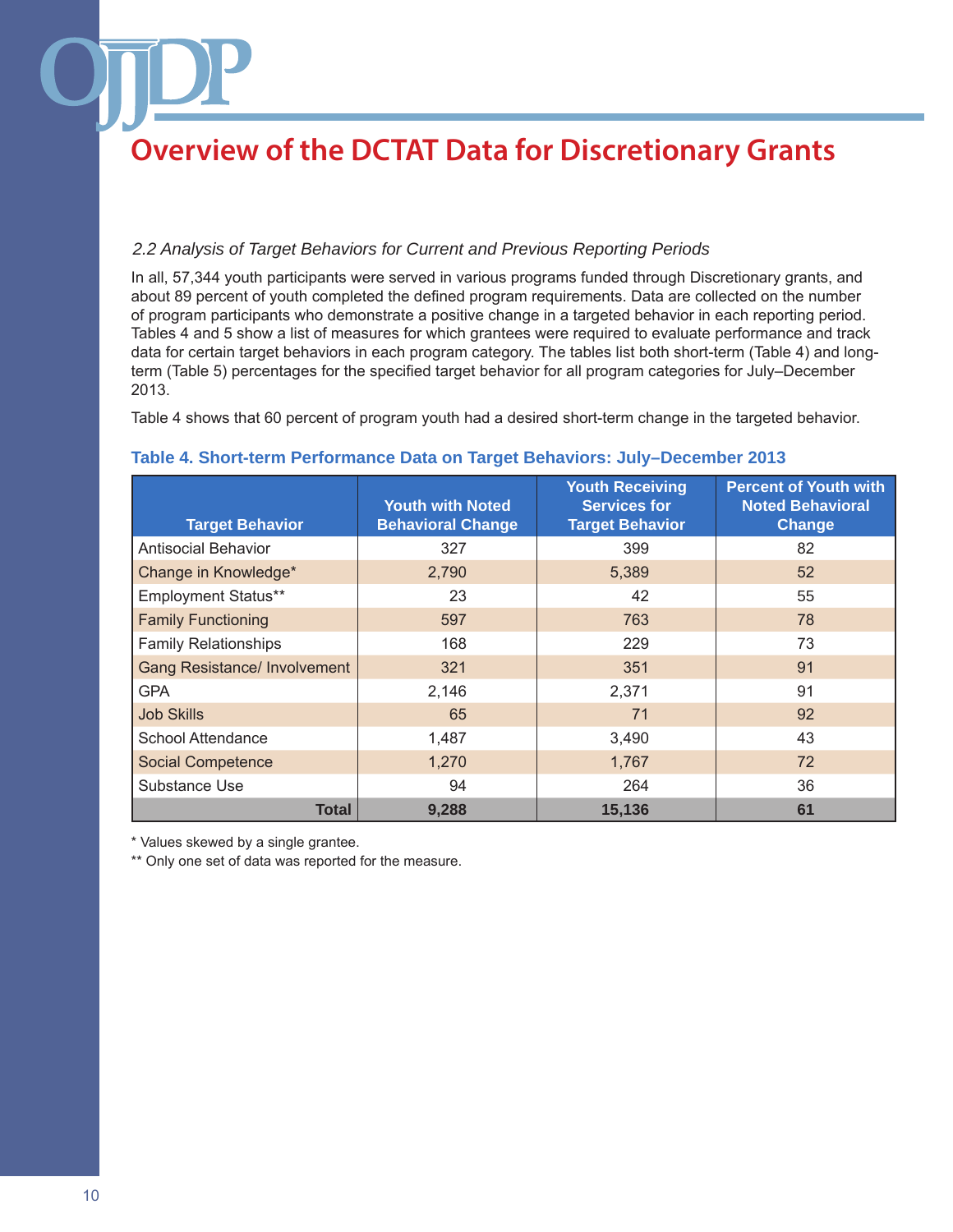### *2.2 Analysis of Target Behaviors for Current and Previous Reporting Periods*

In all, 57,344 youth participants were served in various programs funded through Discretionary grants, and about 89 percent of youth completed the defined program requirements. Data are collected on the number of program participants who demonstrate a positive change in a targeted behavior in each reporting period. Tables 4 and 5 show a list of measures for which grantees were required to evaluate performance and track data for certain target behaviors in each program category. The tables list both short-term (Table 4) and longterm (Table 5) percentages for the specified target behavior for all program categories for July–December 2013.

Table 4 shows that 60 percent of program youth had a desired short-term change in the targeted behavior.

### **Table 4. Short-term Performance Data on Target Behaviors: July–December 2013**

| <b>Target Behavior</b>              | <b>Youth with Noted</b><br><b>Behavioral Change</b> | <b>Youth Receiving</b><br><b>Services for</b><br><b>Target Behavior</b> | <b>Percent of Youth with</b><br><b>Noted Behavioral</b><br>Change |
|-------------------------------------|-----------------------------------------------------|-------------------------------------------------------------------------|-------------------------------------------------------------------|
| <b>Antisocial Behavior</b>          | 327                                                 | 399                                                                     | 82                                                                |
| Change in Knowledge*                | 2,790                                               | 5,389                                                                   | 52                                                                |
| Employment Status**                 | 23                                                  | 42                                                                      | 55                                                                |
| <b>Family Functioning</b>           | 597                                                 | 763                                                                     | 78                                                                |
| <b>Family Relationships</b>         | 168                                                 | 229                                                                     | 73                                                                |
| <b>Gang Resistance/ Involvement</b> | 321                                                 | 351                                                                     | 91                                                                |
| <b>GPA</b>                          | 2,146                                               | 2,371                                                                   | 91                                                                |
| <b>Job Skills</b>                   | 65                                                  | 71                                                                      | 92                                                                |
| <b>School Attendance</b>            | 1,487                                               | 3,490                                                                   | 43                                                                |
| <b>Social Competence</b>            | 1,270                                               | 1,767                                                                   | 72                                                                |
| Substance Use                       | 94                                                  | 264                                                                     | 36                                                                |
| <b>Total</b>                        | 9,288                                               | 15,136                                                                  | 61                                                                |

\* Values skewed by a single grantee.

\*\* Only one set of data was reported for the measure.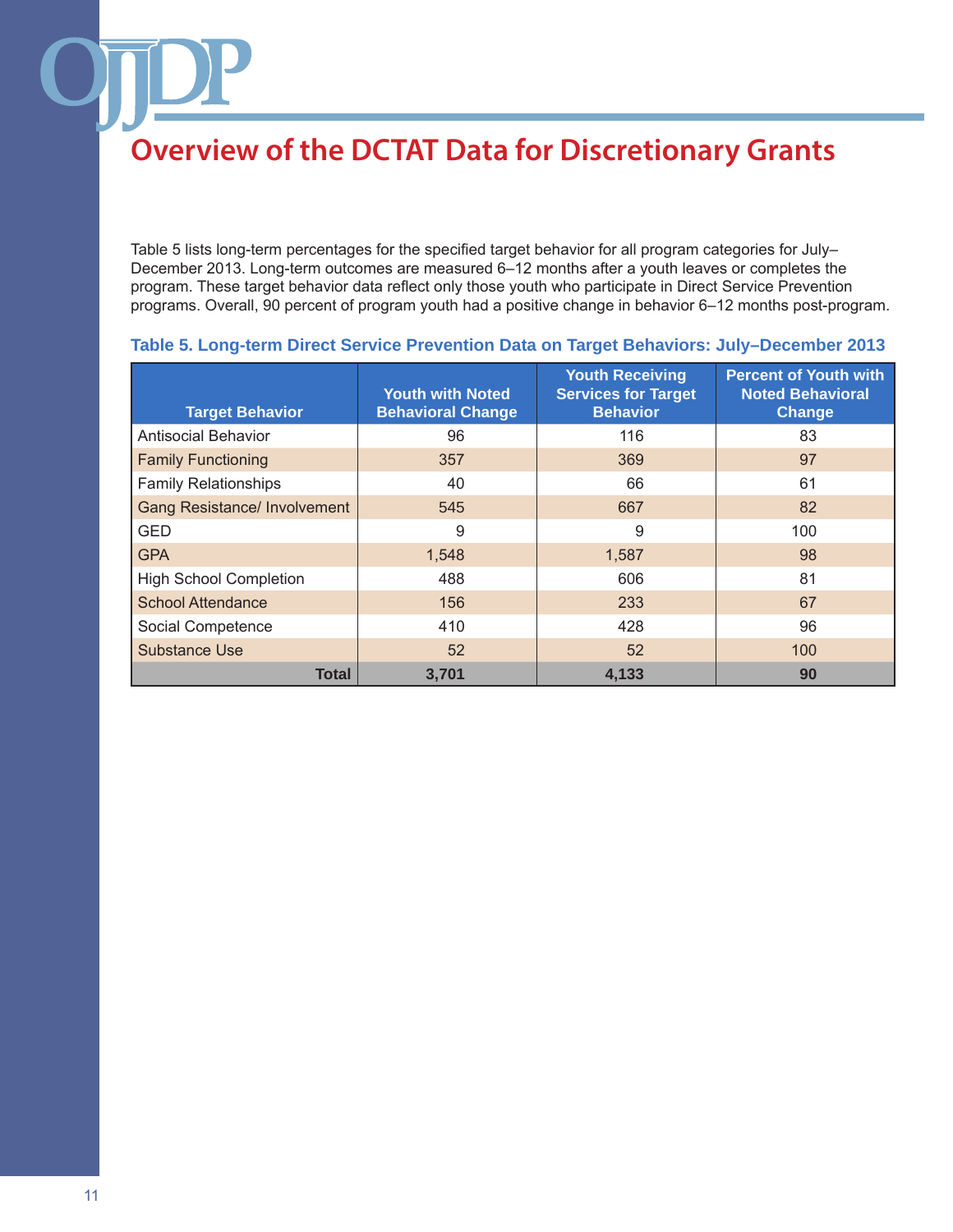Table 5 lists long-term percentages for the specified target behavior for all program categories for July– December 2013. Long-term outcomes are measured 6–12 months after a youth leaves or completes the program. These target behavior data reflect only those youth who participate in Direct Service Prevention programs. Overall, 90 percent of program youth had a positive change in behavior 6–12 months post-program.

| <b>Target Behavior</b>              | <b>Youth with Noted</b><br><b>Behavioral Change</b> | <b>Youth Receiving</b><br><b>Services for Target</b><br><b>Behavior</b> | <b>Percent of Youth with</b><br><b>Noted Behavioral</b><br>Change |
|-------------------------------------|-----------------------------------------------------|-------------------------------------------------------------------------|-------------------------------------------------------------------|
| <b>Antisocial Behavior</b>          | 96                                                  | 116                                                                     | 83                                                                |
| <b>Family Functioning</b>           | 357                                                 | 369                                                                     | 97                                                                |
| <b>Family Relationships</b>         | 40                                                  | 66                                                                      | 61                                                                |
| <b>Gang Resistance/ Involvement</b> | 545                                                 | 667                                                                     | 82                                                                |
| <b>GED</b>                          | 9                                                   | 9                                                                       | 100                                                               |
| <b>GPA</b>                          | 1,548                                               | 1,587                                                                   | 98                                                                |
| <b>High School Completion</b>       | 488                                                 | 606                                                                     | 81                                                                |
| <b>School Attendance</b>            | 156                                                 | 233                                                                     | 67                                                                |
| Social Competence                   | 410                                                 | 428                                                                     | 96                                                                |
| Substance Use                       | 52                                                  | 52                                                                      | 100                                                               |
| Total                               | 3.701                                               | 4.133                                                                   | 90                                                                |

### **Table 5. Long-term Direct Service Prevention Data on Target Behaviors: July–December 2013**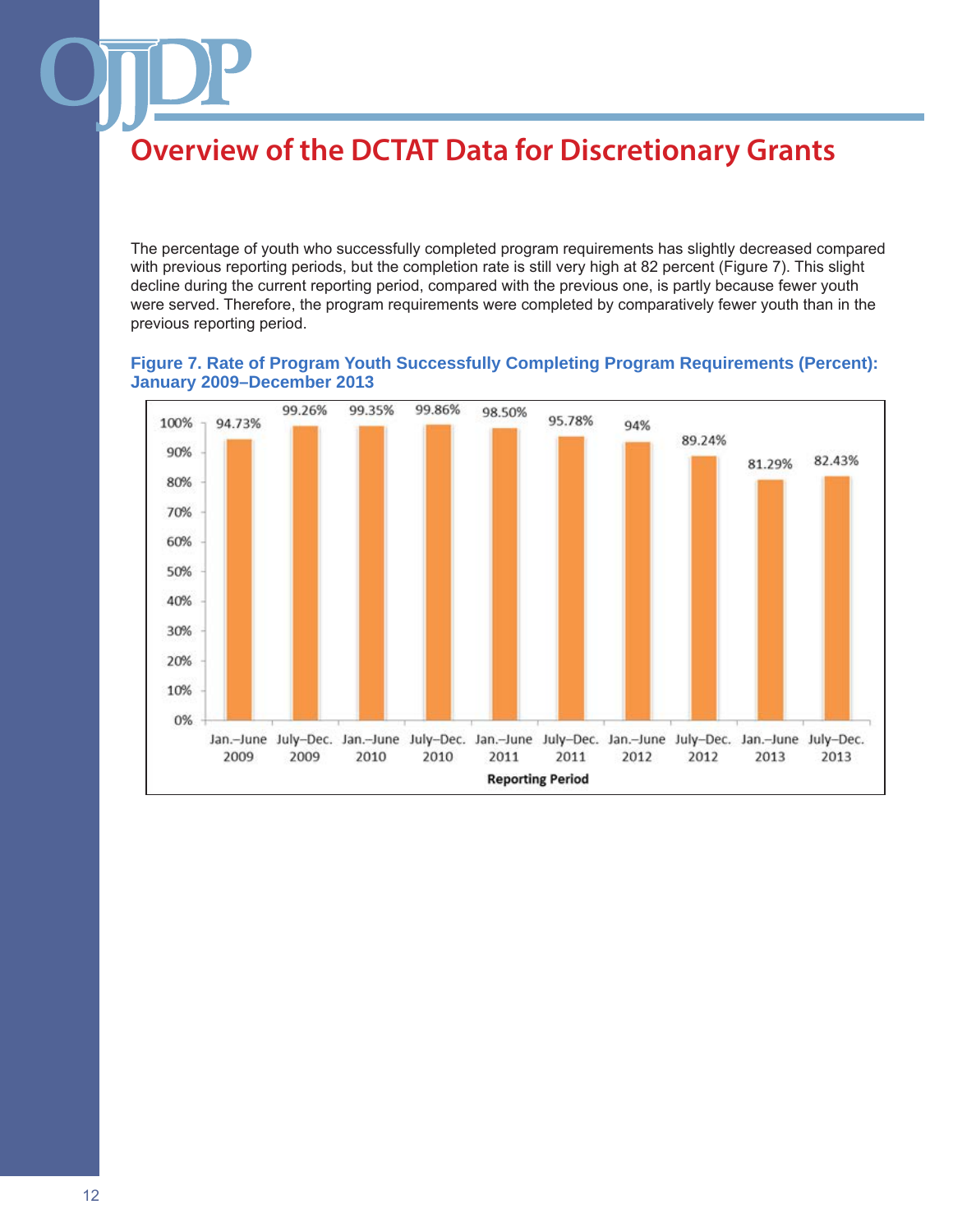The percentage of youth who successfully completed program requirements has slightly decreased compared with previous reporting periods, but the completion rate is still very high at 82 percent (Figure 7). This slight decline during the current reporting period, compared with the previous one, is partly because fewer youth were served. Therefore, the program requirements were completed by comparatively fewer youth than in the previous reporting period.

### **Figure 7. Rate of Program Youth Successfully Completing Program Requirements (Percent): January 2009–December 2013**

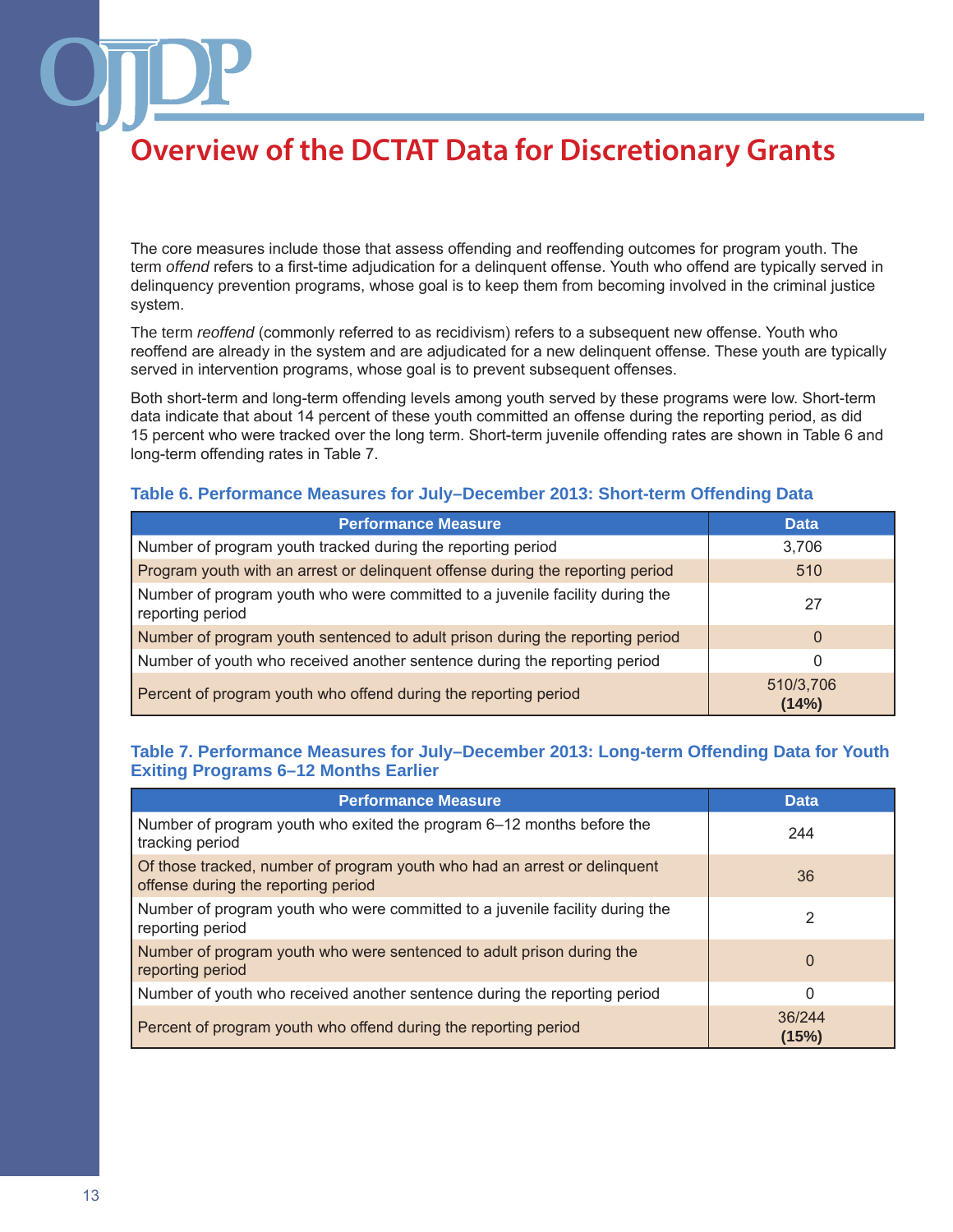The core measures include those that assess offending and reoffending outcomes for program youth. The term *offend* refers to a first-time adjudication for a delinquent offense. Youth who offend are typically served in delinquency prevention programs, whose goal is to keep them from becoming involved in the criminal justice system.

The term *reoffend* (commonly referred to as recidivism) refers to a subsequent new offense. Youth who reoffend are already in the system and are adjudicated for a new delinquent offense. These youth are typically served in intervention programs, whose goal is to prevent subsequent offenses.

Both short-term and long-term offending levels among youth served by these programs were low. Short-term data indicate that about 14 percent of these youth committed an offense during the reporting period, as did 15 percent who were tracked over the long term. Short-term juvenile offending rates are shown in Table 6 and long-term offending rates in Table 7.

### **Table 6. Performance Measures for July–December 2013: Short-term Offending Data**

| <b>Performance Measure</b>                                                                       | <b>Data</b>        |
|--------------------------------------------------------------------------------------------------|--------------------|
| Number of program youth tracked during the reporting period                                      | 3.706              |
| Program youth with an arrest or delinquent offense during the reporting period                   | 510                |
| Number of program youth who were committed to a juvenile facility during the<br>reporting period | 27                 |
| Number of program youth sentenced to adult prison during the reporting period                    | 0                  |
| Number of youth who received another sentence during the reporting period                        | 0                  |
| Percent of program youth who offend during the reporting period                                  | 510/3,706<br>(14%) |

### **Table 7. Performance Measures for July–December 2013: Long-term Offending Data for Youth Exiting Programs 6–12 Months Earlier**

| <b>Performance Measure</b>                                                                                       | Data            |
|------------------------------------------------------------------------------------------------------------------|-----------------|
| Number of program youth who exited the program 6–12 months before the<br>tracking period                         | 244             |
| Of those tracked, number of program youth who had an arrest or delinquent<br>offense during the reporting period | 36              |
| Number of program youth who were committed to a juvenile facility during the<br>reporting period                 | 2               |
| Number of program youth who were sentenced to adult prison during the<br>reporting period                        | $\Omega$        |
| Number of youth who received another sentence during the reporting period                                        | 0               |
| Percent of program youth who offend during the reporting period                                                  | 36/244<br>(15%) |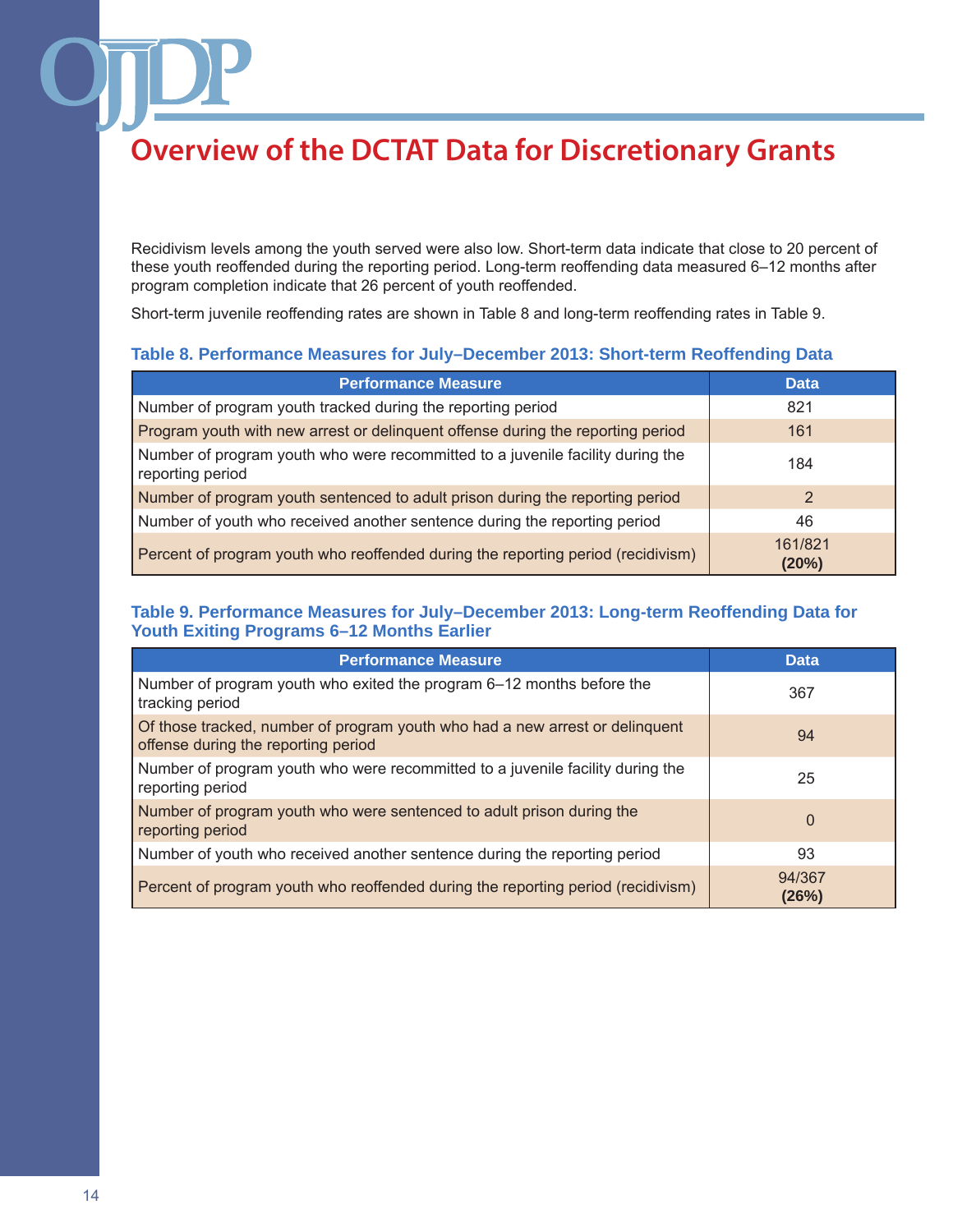Recidivism levels among the youth served were also low. Short-term data indicate that close to 20 percent of these youth reoffended during the reporting period. Long-term reoffending data measured 6–12 months after program completion indicate that 26 percent of youth reoffended.

Short-term juvenile reoffending rates are shown in Table 8 and long-term reoffending rates in Table 9.

#### **Table 8. Performance Measures for July–December 2013: Short-term Reoffending Data**

| <b>Performance Measure</b>                                                                         | <b>Data</b>      |
|----------------------------------------------------------------------------------------------------|------------------|
| Number of program youth tracked during the reporting period                                        | 821              |
| Program youth with new arrest or delinquent offense during the reporting period                    | 161              |
| Number of program youth who were recommitted to a juvenile facility during the<br>reporting period | 184              |
| Number of program youth sentenced to adult prison during the reporting period                      | 2                |
| Number of youth who received another sentence during the reporting period                          | 46               |
| Percent of program youth who reoffended during the reporting period (recidivism)                   | 161/821<br>(20%) |

### **Table 9. Performance Measures for July–December 2013: Long-term Reoffending Data for Youth Exiting Programs 6–12 Months Earlier**

| <b>Performance Measure</b>                                                                                          | <b>Data</b>     |
|---------------------------------------------------------------------------------------------------------------------|-----------------|
| Number of program youth who exited the program 6–12 months before the<br>tracking period                            | 367             |
| Of those tracked, number of program youth who had a new arrest or delinquent<br>offense during the reporting period | 94              |
| Number of program youth who were recommitted to a juvenile facility during the<br>reporting period                  | 25              |
| Number of program youth who were sentenced to adult prison during the<br>reporting period                           | $\Omega$        |
| Number of youth who received another sentence during the reporting period                                           | 93              |
| Percent of program youth who reoffended during the reporting period (recidivism)                                    | 94/367<br>(26%) |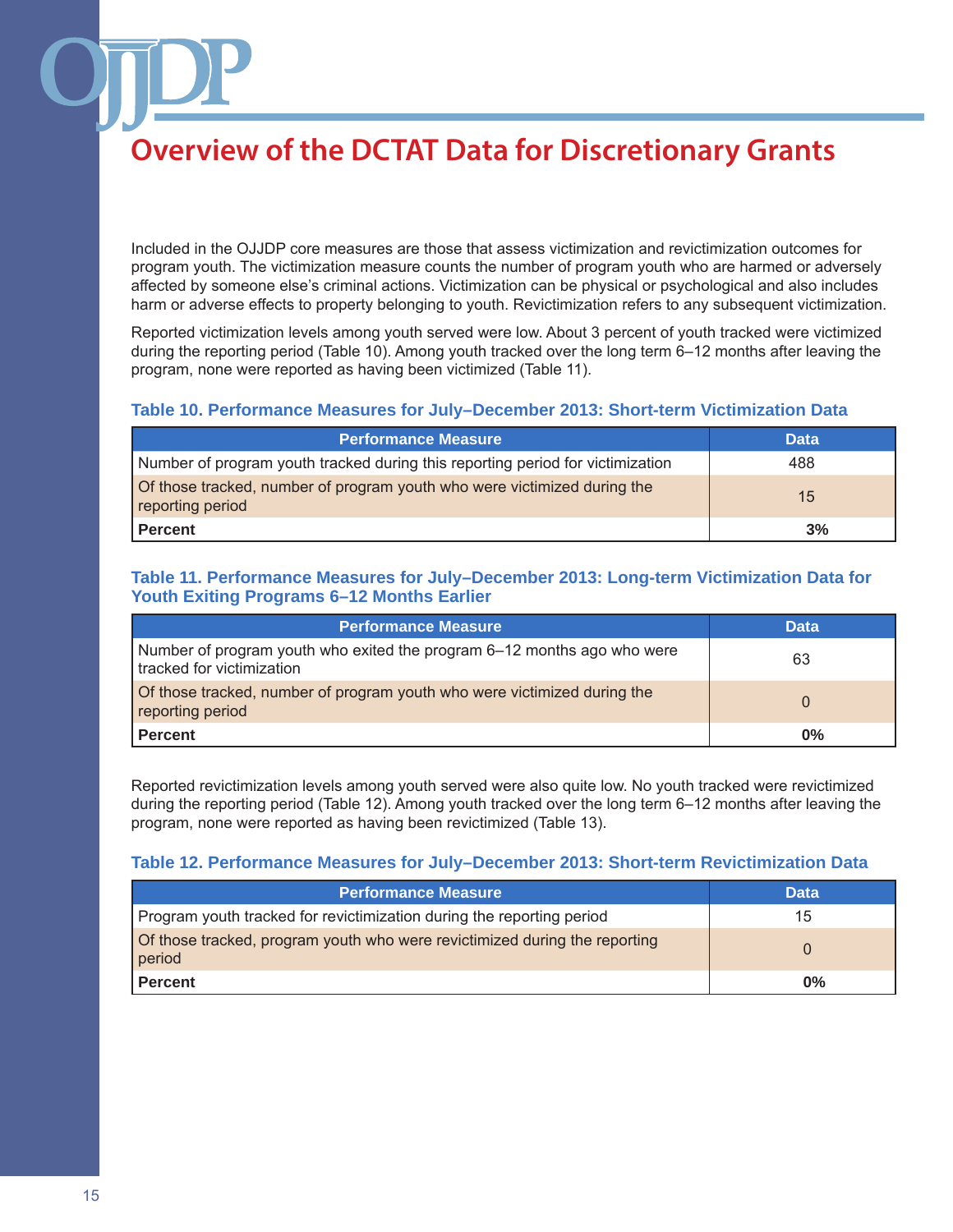Included in the OJJDP core measures are those that assess victimization and revictimization outcomes for program youth. The victimization measure counts the number of program youth who are harmed or adversely affected by someone else's criminal actions. Victimization can be physical or psychological and also includes harm or adverse effects to property belonging to youth. Revictimization refers to any subsequent victimization.

Reported victimization levels among youth served were low. About 3 percent of youth tracked were victimized during the reporting period (Table 10). Among youth tracked over the long term 6–12 months after leaving the program, none were reported as having been victimized (Table 11).

#### **Table 10. Performance Measures for July–December 2013: Short-term Victimization Data**

| <b>Performance Measure</b>                                                                   | <b>Data</b> |
|----------------------------------------------------------------------------------------------|-------------|
| Number of program youth tracked during this reporting period for victimization               | 488         |
| Of those tracked, number of program youth who were victimized during the<br>reporting period | 15          |
| <b>Percent</b>                                                                               | 3%          |

### **Table 11. Performance Measures for July–December 2013: Long-term Victimization Data for Youth Exiting Programs 6–12 Months Earlier**

| <b>Performance Measure</b>                                                                           | <b>Data</b> |
|------------------------------------------------------------------------------------------------------|-------------|
| Number of program youth who exited the program 6–12 months ago who were<br>tracked for victimization | 63          |
| of those tracked, number of program youth who were victimized during the<br>reporting period         | $\Omega$    |
| <b>Percent</b>                                                                                       | $0\%$       |

Reported revictimization levels among youth served were also quite low. No youth tracked were revictimized during the reporting period (Table 12). Among youth tracked over the long term 6–12 months after leaving the program, none were reported as having been revictimized (Table 13).

#### **Table 12. Performance Measures for July–December 2013: Short-term Revictimization Data**

| <b>Performance Measure</b>                                                           | <b>Data</b> |
|--------------------------------------------------------------------------------------|-------------|
| Program youth tracked for revictimization during the reporting period                | 15          |
| of those tracked, program youth who were revictimized during the reporting<br>period |             |
| <b>Percent</b>                                                                       | 0%          |